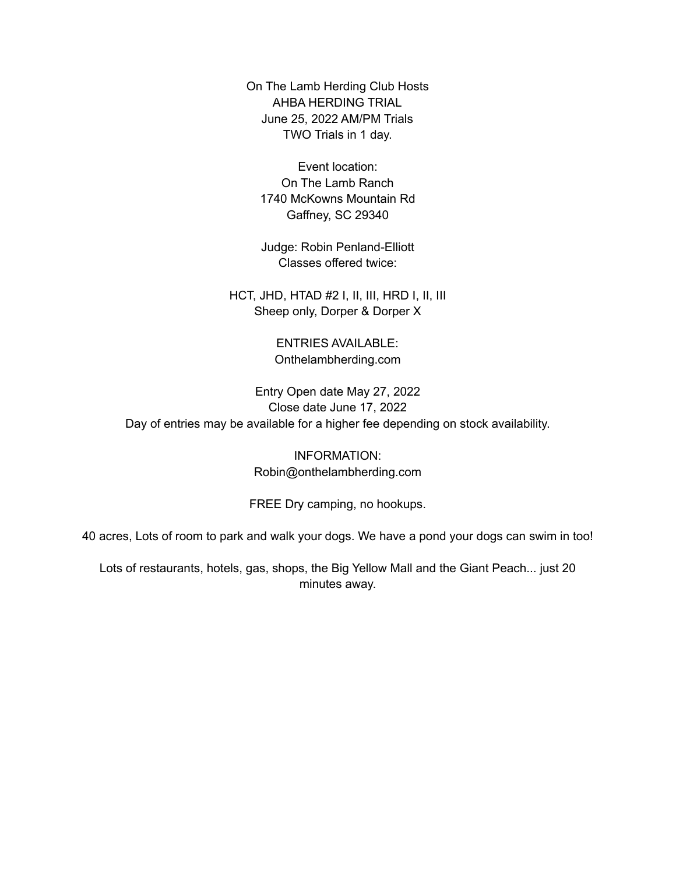On The Lamb Herding Club Hosts AHBA HERDING TRIAL June 25, 2022 AM/PM Trials TWO Trials in 1 day.

Event location: On The Lamb Ranch 1740 McKowns Mountain Rd Gaffney, SC 29340

Judge: Robin Penland-Elliott Classes offered twice:

HCT, JHD, HTAD #2 I, II, III, HRD I, II, III Sheep only, Dorper & Dorper X

> ENTRIES AVAILABLE: Onthelambherding.com

Entry Open date May 27, 2022 Close date June 17, 2022 Day of entries may be available for a higher fee depending on stock availability.

> INFORMATION: Robin@onthelambherding.com

FREE Dry camping, no hookups.

40 acres, Lots of room to park and walk your dogs. We have a pond your dogs can swim in too!

Lots of restaurants, hotels, gas, shops, the Big Yellow Mall and the Giant Peach... just 20 minutes away.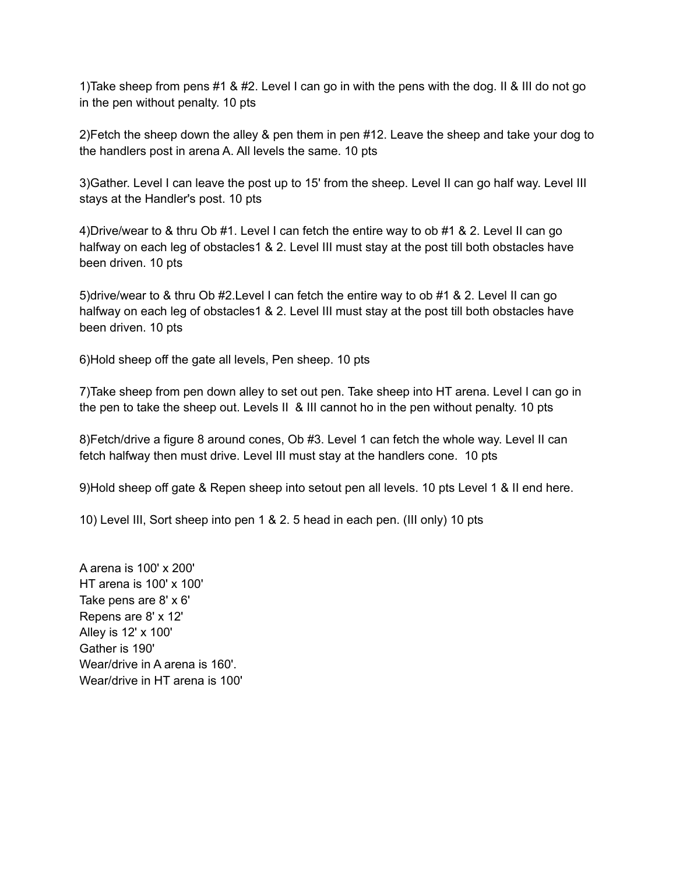1)Take sheep from pens #1 & #2. Level I can go in with the pens with the dog. II & III do not go in the pen without penalty. 10 pts

2)Fetch the sheep down the alley & pen them in pen #12. Leave the sheep and take your dog to the handlers post in arena A. All levels the same. 10 pts

3)Gather. Level I can leave the post up to 15' from the sheep. Level II can go half way. Level III stays at the Handler's post. 10 pts

4)Drive/wear to & thru Ob #1. Level I can fetch the entire way to ob #1 & 2. Level II can go halfway on each leg of obstacles1 & 2. Level III must stay at the post till both obstacles have been driven. 10 pts

5)drive/wear to & thru Ob #2.Level I can fetch the entire way to ob #1 & 2. Level II can go halfway on each leg of obstacles1 & 2. Level III must stay at the post till both obstacles have been driven. 10 pts

6)Hold sheep off the gate all levels, Pen sheep. 10 pts

7)Take sheep from pen down alley to set out pen. Take sheep into HT arena. Level I can go in the pen to take the sheep out. Levels II & III cannot ho in the pen without penalty. 10 pts

8)Fetch/drive a figure 8 around cones, Ob #3. Level 1 can fetch the whole way. Level II can fetch halfway then must drive. Level III must stay at the handlers cone. 10 pts

9)Hold sheep off gate & Repen sheep into setout pen all levels. 10 pts Level 1 & II end here.

10) Level III, Sort sheep into pen 1 & 2. 5 head in each pen. (III only) 10 pts

A arena is 100' x 200' HT arena is 100' x 100' Take pens are 8' x 6' Repens are 8' x 12' Alley is 12' x 100' Gather is 190' Wear/drive in A arena is 160'. Wear/drive in HT arena is 100'